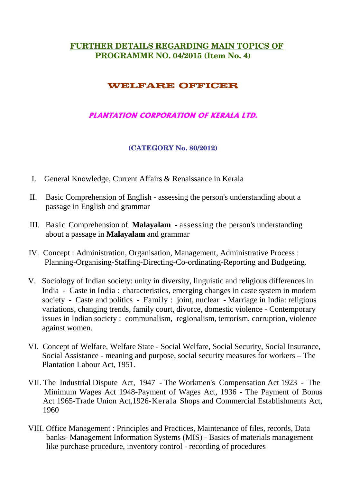## **FURTHER DETAILS REGARDING MAIN TOPICS OF PROGRAMME NO. 04/2015 (Item No. 4)**

## **WELFARE OFFICER**

## **PLANTATION CORPORATION OF KERALA LTD.**

## **(CATEGORY No. 80/2012)**

- I. General Knowledge, Current Affairs & Renaissance in Kerala
- II. Basic Comprehension of English assessing the person's understanding about a passage in English and grammar
- III. Basic Comprehension of **Malayalam**  assessing the person's understanding about a passage in **Malayalam** and grammar
- IV. Concept : Administration, Organisation, Management, Administrative Process : Planning-Organising-Staffing-Directing-Co-ordinating-Reporting and Budgeting.
- V. Sociology of Indian society: unity in diversity, linguistic and religious differences in India - Caste in India : characteristics, emerging changes in caste system in modern society - Caste and politics - Family : joint, nuclear - Marriage in India: religious variations, changing trends, family court, divorce, domestic violence - Contemporary issues in Indian society : communalism, regionalism, terrorism, corruption, violence against women.
- VI. Concept of Welfare, Welfare State Social Welfare, Social Security, Social Insurance, Social Assistance - meaning and purpose, social security measures for workers – The Plantation Labour Act, 1951.
- VII. The Industrial Dispute Act, 1947 The Workmen's Compensation Act 1923 The Minimum Wages Act 1948-Payment of Wages Act, 1936 - The Payment of Bonus Act 1965-Trade Union Act,1926-Kerala Shops and Commercial Establishments Act, 1960
- VIII. Office Management : Principles and Practices, Maintenance of files, records, Data banks- Management Information Systems (MIS) - Basics of materials management like purchase procedure, inventory control - recording of procedures